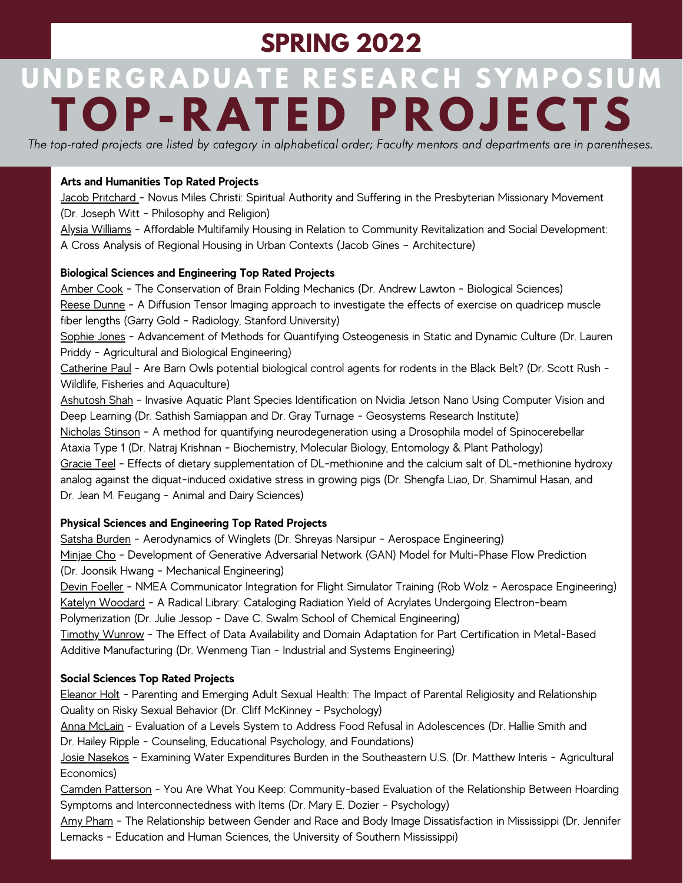## **SPRING 2022**

# UNDERGRADUATE RESEARCH SYMPOSIUM **T O P- R A T E D P R O J E C TS**

The top-rated projects are listed by category in alphabetical order; Faculty mentors and departments are in parentheses.

### **Arts and Humanities Top Rated Projects**

Jacob Pritchard - Novus Miles Christi: Spiritual Authority and Suffering in the Presbyterian Missionary Movement (Dr. Joseph Witt - Philosophy and Religion)

Alysia Williams - Affordable Multifamily Housing in Relation to Community Revitalization and Social Development: A Cross Analysis of Regional Housing in Urban Contexts (Jacob Gines – Architecture)

#### **Biological Sciences and Engineering Top Rated Projects**

Amber Cook - The Conservation of Brain Folding Mechanics (Dr. Andrew Lawton - Biological Sciences) Reese Dunne - A Diffusion Tensor Imaging approach to investigate the effects of exercise on quadricep muscle fiber lengths (Garry Gold - Radiology, Stanford University)

Sophie Jones - Advancement of Methods for Quantifying Osteogenesis in Static and Dynamic Culture (Dr. Lauren Priddy - Agricultural and Biological Engineering)

Catherine Paul - Are Barn Owls potential biological control agents for rodents in the Black Belt? (Dr. Scott Rush - Wildlife, Fisheries and Aquaculture)

Ashutosh Shah - Invasive Aquatic Plant Species Identification on Nvidia Jetson Nano Using Computer Vision and Deep Learning (Dr. Sathish Samiappan and Dr. Gray Turnage - Geosystems Research Institute) Nicholas Stinson - A method for quantifying neurodegeneration using a Drosophila model of Spinocerebellar Ataxia Type 1 (Dr. Natraj Krishnan - Biochemistry, Molecular Biology, Entomology & Plant Pathology) Gracie Teel - Effects of dietary supplementation of DL-methionine and the calcium salt of DL-methionine hydroxy analog against the diquat-induced oxidative stress in growing pigs (Dr. Shengfa Liao, Dr. Shamimul Hasan, and Dr. Jean M. Feugang - Animal and Dairy Sciences)

### **Physical Sciences and Engineering Top Rated Projects**

Satsha Burden - Aerodynamics of Winglets (Dr. Shreyas Narsipur - Aerospace Engineering) Minjae Cho - Development of Generative Adversarial Network (GAN) Model for Multi-Phase Flow Prediction (Dr. Joonsik Hwang - Mechanical Engineering)

Devin Foeller - NMEA Communicator Integration for Flight Simulator Training (Rob Wolz - Aerospace Engineering) Katelyn Woodard - A Radical Library: Cataloging Radiation Yield of Acrylates Undergoing Electron-beam Polymerization (Dr. Julie Jessop - Dave C. Swalm School of Chemical Engineering)

Timothy Wunrow - The Effect of Data Availability and Domain Adaptation for Part Certification in Metal-Based Additive Manufacturing (Dr. Wenmeng Tian - Industrial and Systems Engineering)

#### **Social Sciences Top Rated Projects**

Eleanor Holt - Parenting and Emerging Adult Sexual Health: The Impact of Parental Religiosity and Relationship Quality on Risky Sexual Behavior (Dr. Cliff McKinney - Psychology)

Anna McLain - Evaluation of a Levels System to Address Food Refusal in Adolescences (Dr. Hallie Smith and Dr. Hailey Ripple - Counseling, Educational Psychology, and Foundations)

Josie Nasekos - Examining Water Expenditures Burden in the Southeastern U.S. (Dr. Matthew Interis - Agricultural Economics)

Camden Patterson - You Are What You Keep: Community-based Evaluation of the Relationship Between Hoarding Symptoms and Interconnectedness with Items (Dr. Mary E. Dozier - Psychology)

Amy Pham - The Relationship between Gender and Race and Body Image Dissatisfaction in Mississippi (Dr. Jennifer Lemacks - Education and Human Sciences, the University of Southern Mississippi)